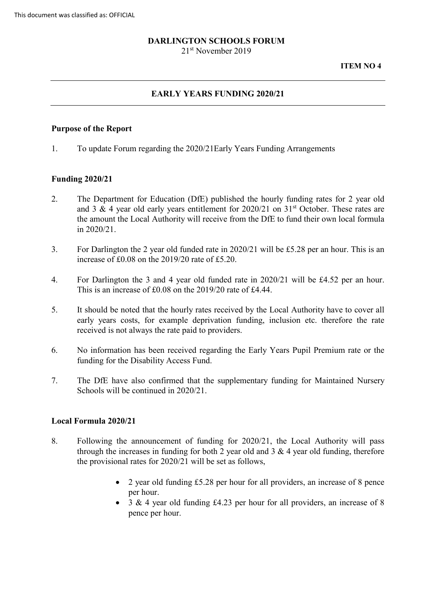# **DARLINGTON SCHOOLS FORUM**

21st November 2019

## **EARLY YEARS FUNDING 2020/21**

## **Purpose of the Report**

1. To update Forum regarding the 2020/21Early Years Funding Arrangements

## **Funding 2020/21**

- 2. The Department for Education (DfE) published the hourly funding rates for 2 year old and 3 & 4 year old early years entitlement for  $2020/21$  on  $31<sup>st</sup>$  October. These rates are the amount the Local Authority will receive from the DfE to fund their own local formula in 2020/21.
- 3. For Darlington the 2 year old funded rate in 2020/21 will be £5.28 per an hour. This is an increase of £0.08 on the 2019/20 rate of £5.20.
- 4. For Darlington the 3 and 4 year old funded rate in 2020/21 will be £4.52 per an hour. This is an increase of £0.08 on the 2019/20 rate of £4.44.
- 5. It should be noted that the hourly rates received by the Local Authority have to cover all early years costs, for example deprivation funding, inclusion etc. therefore the rate received is not always the rate paid to providers.
- 6. No information has been received regarding the Early Years Pupil Premium rate or the funding for the Disability Access Fund.
- 7. The DfE have also confirmed that the supplementary funding for Maintained Nursery Schools will be continued in 2020/21.

## **Local Formula 2020/21**

- 8. Following the announcement of funding for 2020/21, the Local Authority will pass through the increases in funding for both 2 year old and  $3 \& 4$  year old funding, therefore the provisional rates for 2020/21 will be set as follows,
	- 2 year old funding £5.28 per hour for all providers, an increase of 8 pence per hour.
	- 3 & 4 year old funding £4.23 per hour for all providers, an increase of 8 pence per hour.